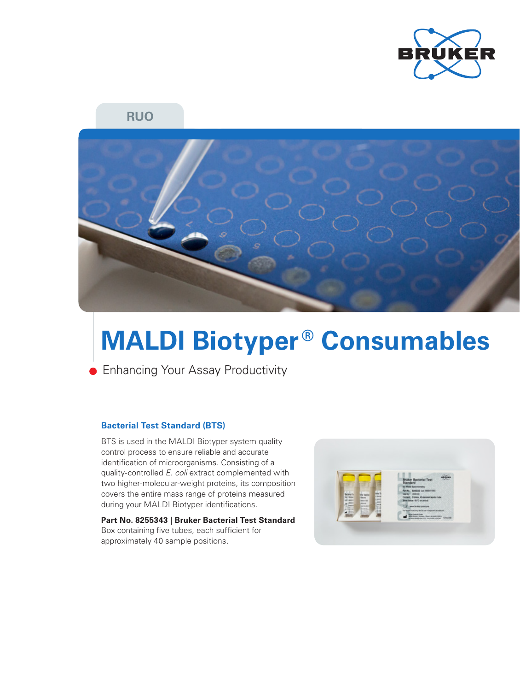

**RUO**



# **MALDI Biotyper<sup>®</sup> Consumables**

**Enhancing Your Assay Productivity** 

## **Bacterial Test Standard (BTS)**

BTS is used in the MALDI Biotyper system quality control process to ensure reliable and accurate identification of microorganisms. Consisting of a quality-controlled *E. coli* extract complemented with two higher-molecular-weight proteins, its composition covers the entire mass range of proteins measured during your MALDI Biotyper identifications.

**Part No. 8255343 | Bruker Bacterial Test Standard**  Box containing five tubes, each sufficient for approximately 40 sample positions.

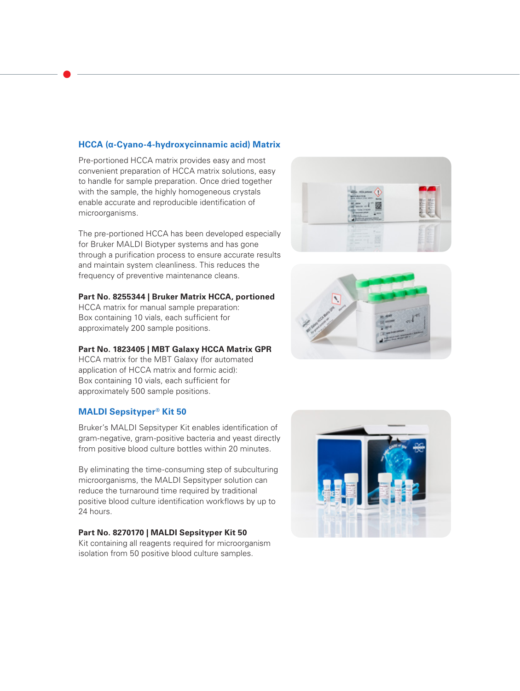## **HCCA (α-Cyano-4-hydroxycinnamic acid) Matrix**

Pre-portioned HCCA matrix provides easy and most convenient preparation of HCCA matrix solutions, easy to handle for sample preparation. Once dried together with the sample, the highly homogeneous crystals enable accurate and reproducible identification of microorganisms.

The pre-portioned HCCA has been developed especially for Bruker MALDI Biotyper systems and has gone through a purification process to ensure accurate results and maintain system cleanliness. This reduces the frequency of preventive maintenance cleans.

### **Part No. 8255344 | Bruker Matrix HCCA, portioned**

HCCA matrix for manual sample preparation: Box containing 10 vials, each sufficient for approximately 200 sample positions.

## **Part No. 1823405 | MBT Galaxy HCCA Matrix GPR**

HCCA matrix for the MBT Galaxy (for automated application of HCCA matrix and formic acid): Box containing 10 vials, each sufficient for approximately 500 sample positions.

## **MALDI Sepsityper® Kit 50**

Bruker's MALDI Sepsityper Kit enables identification of gram-negative, gram-positive bacteria and yeast directly from positive blood culture bottles within 20 minutes.

By eliminating the time-consuming step of subculturing microorganisms, the MALDI Sepsityper solution can reduce the turnaround time required by traditional positive blood culture identification workflows by up to 24 hours.

### **Part No. 8270170 | MALDI Sepsityper Kit 50**

Kit containing all reagents required for microorganism isolation from 50 positive blood culture samples.





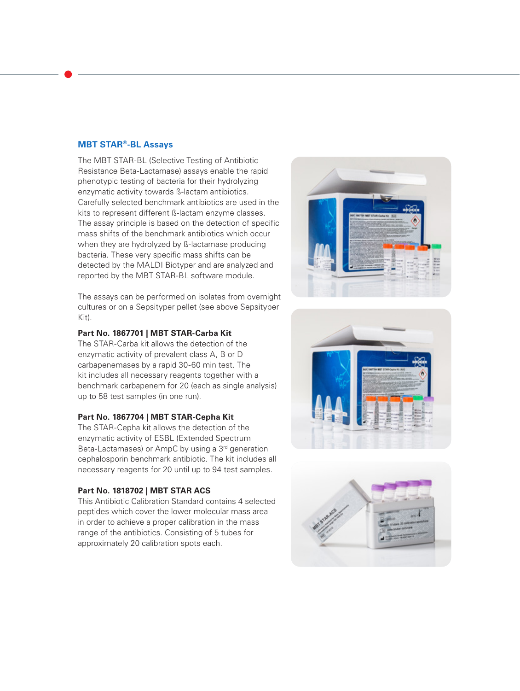#### **MBT STAR®-BL Assays**

The MBT STAR-BL (Selective Testing of Antibiotic Resistance Beta-Lactamase) assays enable the rapid phenotypic testing of bacteria for their hydrolyzing enzymatic activity towards ß-lactam antibiotics. Carefully selected benchmark antibiotics are used in the kits to represent different ß-lactam enzyme classes. The assay principle is based on the detection of specific mass shifts of the benchmark antibiotics which occur when they are hydrolyzed by ß-lactamase producing bacteria. These very specific mass shifts can be detected by the MALDI Biotyper and are analyzed and reported by the MBT STAR-BL software module.

The assays can be performed on isolates from overnight cultures or on a Sepsityper pellet (see above Sepsityper Kit).

### **Part No. 1867701 | MBT STAR-Carba Kit**

The STAR-Carba kit allows the detection of the enzymatic activity of prevalent class A, B or D carbapenemases by a rapid 30-60 min test. The kit includes all necessary reagents together with a benchmark carbapenem for 20 (each as single analysis) up to 58 test samples (in one run).

#### **Part No. 1867704 | MBT STAR-Cepha Kit**

The STAR-Cepha kit allows the detection of the enzymatic activity of ESBL (Extended Spectrum Beta-Lactamases) or AmpC by using a 3<sup>rd</sup> generation cephalosporin benchmark antibiotic. The kit includes all necessary reagents for 20 until up to 94 test samples.

### **Part No. 1818702 | MBT STAR ACS**

This Antibiotic Calibration Standard contains 4 selected peptides which cover the lower molecular mass area in order to achieve a proper calibration in the mass range of the antibiotics. Consisting of 5 tubes for approximately 20 calibration spots each.